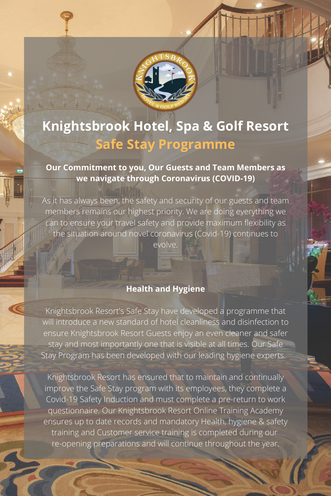

# **Knightsbrook Hotel, Spa & Golf Resort Safe Stay Programme**

**Our Commitment to you, Our Guests and Team Members as**

**we navigate through Coronavirus (COVID-19)**

As it has always been, the safety and security of our guests and team members remains our highest priority. We are doing everything we can to ensure your travel safety and provide maximum flexibility as the situation around novel coronavirus (Covid-19) continues to

evolve.

**Health and Hygiene**

Knightsbrook Resort's Safe Stay have developed a programme that will introduce a new standard of hotel cleanliness and disinfection to ensure Knightsbrook Resort Guests enjoy an even cleaner and safer stay and most importantly one that is visible at all times. Our Safe Stay Program has been developed with our leading hygiene experts.

Knightsbrook Resort has ensured that to maintain and continually improve the Safe Stay program with its employees, they complete a Covid-19 Safety Induction and must complete a pre-return to work questionnaire. Our Knightsbrook Resort Online Training Academy ensures up to date records and mandatory Health, hygiene & safety training and Customer service training is completed during our re-opening preparations and will continue throughout the year.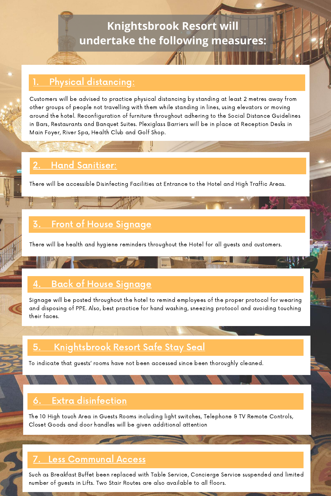## **Knightsbrook Resort will undertake the following measures:**

#### Physical distancing:

Customers will be advised to practice physical distancing by standing at least 2 metres away from other groups of people not travelling with them while standing in lines, using elevators or moving around the hotel. Reconfiguration of furniture throughout adhering to the Social Distance Guidelines in Bars, Restaurants and Banquet Suites. Plexiglass Barriers will be in place at Reception Desks in Main Foyer, River Spa, Health Club and Golf Shop.

## Hand Sanitiser:

There will be health and hygiene reminders throughout the Hotel for all guests and customers.

#### 3. Front of House Signage

Signage will be posted throughout the hotel to remind employees of the proper protocol for wearing and disposing of PPE. Also, best practice for hand washing, sneezing protocol and avoiding touching their faces.

### 5. Knightsbrook Resort Safe Stay Seal

#### 4. Back of House Signage

There will be accessible Disinfecting Facilities at Entrance to the Hotel and High Traffic Areas.

To indicate that guests' rooms have not been accessed since been thoroughly cleaned.

#### 6. Extra disinfection

The 10 High touch Area in Guests Rooms including light switches, Telephone & TV Remote Controls, Closet Goods and door handles will be given additional attention

#### 7. Less Communal Access

Such as Breakfast Buffet been replaced with Table Service, Concierge Service suspended and limited number of guests in Lifts. Two Stair Routes are also available to all floors.